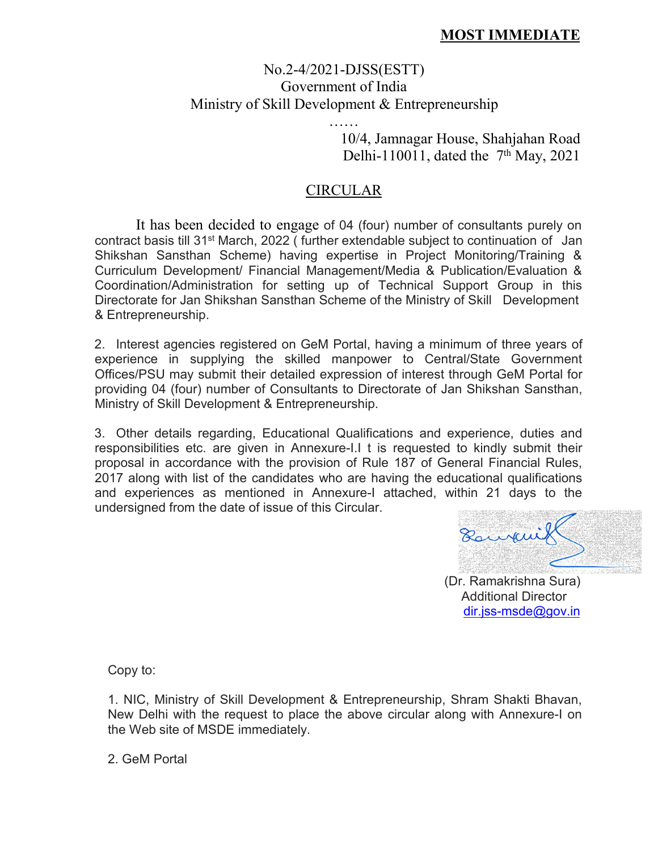## **MOST IMMEDIATE**

## No.2-4/2021-DJSS(ESTT) Government of India Ministry of Skill Development & Entrepreneurship

…… 10/4, Jamnagar House, Shahjahan Road Delhi-110011, dated the  $7<sup>th</sup>$  May, 2021

## CIRCULAR

It has been decided to engage of 04 (four) number of consultants purely on contract basis till 31<sup>st</sup> March, 2022 ( further extendable subject to continuation of  $\,$  Jan $\,$ Shikshan Sansthan Scheme) having expertise in Project Monitoring/Training & Curriculum Development/ Financial Management/Media & Publication/Evaluation & Coordination/Administration for setting up of Technical Support Group in this Directorate for Jan Shikshan Sansthan Scheme of the Ministry of Skill Development & Entrepreneurship.

2. Interest agencies registered on GeM Portal, having a minimum of three years of experience in supplying the skilled manpower to Central/State Government Offices/PSU may submit their detailed expression of interest through GeM Portal for providing 04 (four) number of Consultants to Directorate of Jan Shikshan Sansthan, Ministry of Skill Development & Entrepreneurship.

3. Other details regarding, Educational Qualifications and experience, duties and responsibilities etc. are given in Annexure-I.I t is requested to kindly submit their proposal in accordance with the provision of Rule 187 of General Financial Rules, 2017 along with list of the candidates who are having the educational qualifications and experiences as mentioned in Annexure-I attached, within 21 days to the undersigned from the date of issue of this Circular.

Bouvarill

(Dr. Ramakrishna Sura) Additional Director [dir.jss-msde@gov.in](mailto:dir.jss-msde@gov.in)

Copy to:

1. NIC, Ministry of Skill Development & Entrepreneurship, Shram Shakti Bhavan, New Delhi with the request to place the above circular along with Annexure-Ion the Web site of MSDE immediately.

2. GeM Portal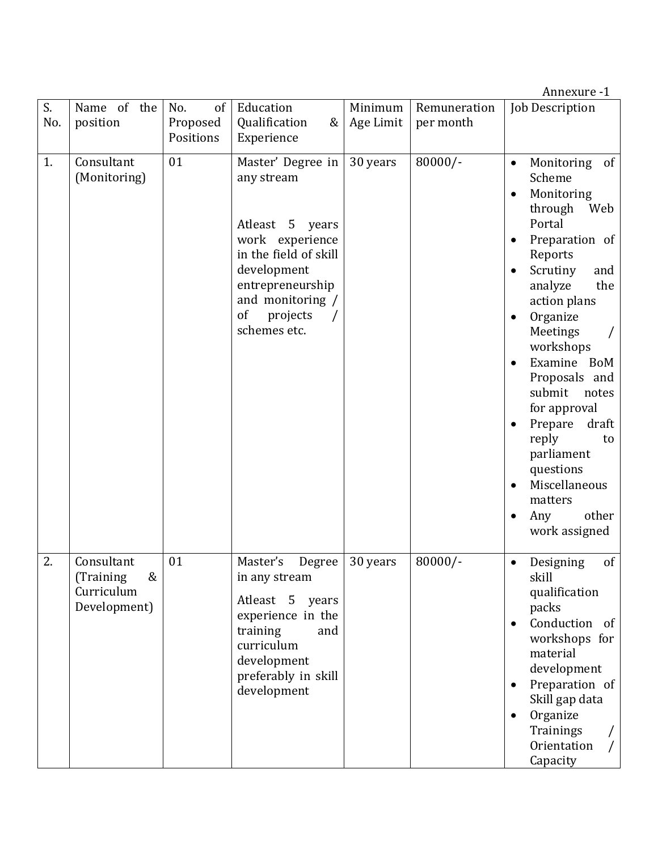|           |                                                            |                                    |                                                                                                                                                                                         |                      |                           | Annexure -1                                                                                                                                                                                                                                                                                                                                                                                                                                                                                                 |
|-----------|------------------------------------------------------------|------------------------------------|-----------------------------------------------------------------------------------------------------------------------------------------------------------------------------------------|----------------------|---------------------------|-------------------------------------------------------------------------------------------------------------------------------------------------------------------------------------------------------------------------------------------------------------------------------------------------------------------------------------------------------------------------------------------------------------------------------------------------------------------------------------------------------------|
| S.<br>No. | Name of the<br>position                                    | No.<br>of<br>Proposed<br>Positions | Education<br>Qualification<br>&<br>Experience                                                                                                                                           | Minimum<br>Age Limit | Remuneration<br>per month | <b>Job Description</b>                                                                                                                                                                                                                                                                                                                                                                                                                                                                                      |
| 1.        | Consultant<br>(Monitoring)                                 | 01                                 | Master' Degree in<br>any stream<br>Atleast 5 years<br>work experience<br>in the field of skill<br>development<br>entrepreneurship<br>and monitoring /<br>of<br>projects<br>schemes etc. | 30 years             | $80000/-$                 | Monitoring of<br>$\bullet$<br>Scheme<br>Monitoring<br>$\bullet$<br>through<br>Web<br>Portal<br>Preparation of<br>$\bullet$<br>Reports<br>Scrutiny<br>and<br>$\bullet$<br>the<br>analyze<br>action plans<br>Organize<br>$\bullet$<br>Meetings<br>workshops<br>Examine BoM<br>$\bullet$<br>Proposals and<br>submit<br>notes<br>for approval<br>Prepare<br>draft<br>$\bullet$<br>reply<br>to<br>parliament<br>questions<br>Miscellaneous<br>$\bullet$<br>matters<br>other<br>Any<br>$\bullet$<br>work assigned |
| 2.        | Consultant<br>(Training<br>&<br>Curriculum<br>Development) | 01                                 | Master's<br>Degree<br>in any stream<br>Atleast 5<br>years<br>experience in the<br>training<br>and<br>curriculum<br>development<br>preferably in skill<br>development                    | 30 years             | $80000/-$                 | of<br>Designing<br>$\bullet$<br>skill<br>qualification<br>packs<br>Conduction of<br>$\bullet$<br>workshops for<br>material<br>development<br>Preparation of<br>$\bullet$<br>Skill gap data<br>Organize<br>$\bullet$<br>Trainings<br>Orientation<br>Capacity                                                                                                                                                                                                                                                 |